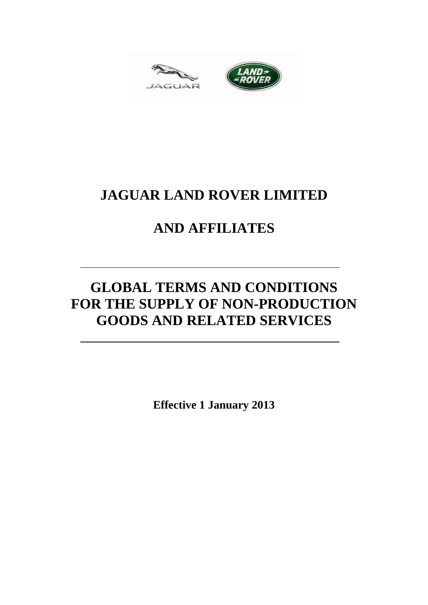



# **JAGUAR LAND ROVER LIMITED**

# **AND AFFILIATES**

# **GLOBAL TERMS AND CONDITIONS** FOR THE SUPPLY OF NON-PRODUCTION **GOODS AND RELATED SERVICES**

**Effective 1 January 2013**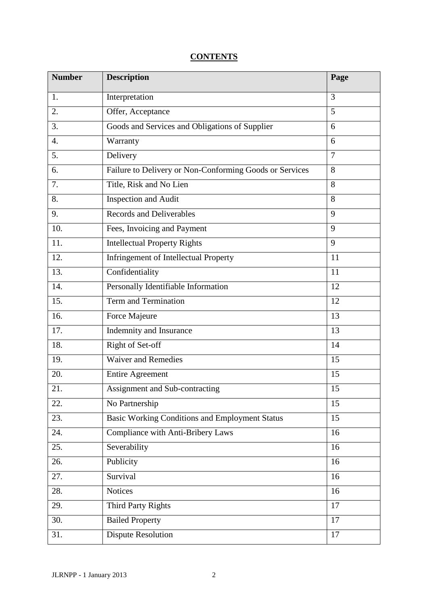### **CONTENTS**

| <b>Number</b>     | <b>Description</b>                                      | Page            |
|-------------------|---------------------------------------------------------|-----------------|
| 1.                | Interpretation                                          | 3               |
| 2.                | Offer, Acceptance                                       | 5               |
| $\overline{3}$ .  | Goods and Services and Obligations of Supplier          | 6               |
| $\overline{4}$ .  | Warranty                                                | 6               |
| 5.                | Delivery                                                | $\overline{7}$  |
| 6.                | Failure to Delivery or Non-Conforming Goods or Services | 8               |
| 7.                | Title, Risk and No Lien                                 | 8               |
| 8.                | <b>Inspection and Audit</b>                             | 8               |
| 9.                | <b>Records and Deliverables</b>                         | 9               |
| 10.               | Fees, Invoicing and Payment                             | 9               |
| 11.               | <b>Intellectual Property Rights</b>                     | $\overline{9}$  |
| 12.               | <b>Infringement of Intellectual Property</b>            | 11              |
| 13.               | Confidentiality                                         | 11              |
| 14.               | Personally Identifiable Information                     | 12              |
| 15.               | <b>Term and Termination</b>                             | 12              |
| 16.               | Force Majeure                                           | 13              |
| $\overline{17}$ . | Indemnity and Insurance                                 | 13              |
| 18.               | Right of Set-off                                        | 14              |
| 19.               | <b>Waiver and Remedies</b>                              | 15              |
| 20.               | <b>Entire Agreement</b>                                 | 15              |
| 21.               | Assignment and Sub-contracting                          | 15              |
| 22.               | No Partnership                                          | 15              |
| 23.               | <b>Basic Working Conditions and Employment Status</b>   | 15              |
| 24.               | Compliance with Anti-Bribery Laws                       | 16              |
| 25.               | Severability                                            | 16              |
| 26.               | Publicity                                               | 16              |
| 27.               | Survival                                                | 16              |
| 28.               | <b>Notices</b>                                          | 16              |
| 29.               | <b>Third Party Rights</b>                               | $\overline{17}$ |
| 30.               | <b>Bailed Property</b>                                  | 17              |
| 31.               | <b>Dispute Resolution</b>                               | 17              |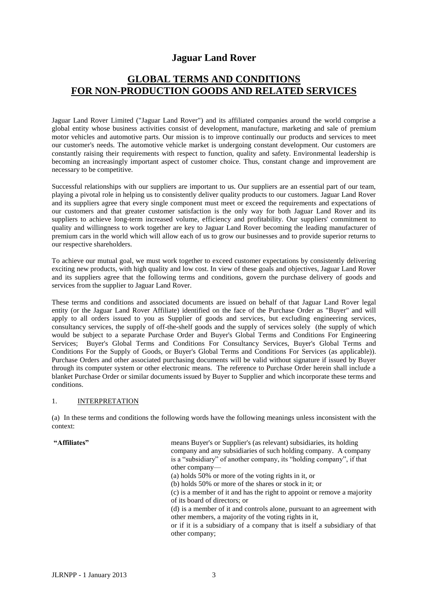### **Jaguar Land Rover**

## **GLOBAL TERMS AND CONDITIONS FOR NON-PRODUCTION GOODS AND RELATED SERVICES**

Jaguar Land Rover Limited ("Jaguar Land Rover") and its affiliated companies around the world comprise a global entity whose business activities consist of development, manufacture, marketing and sale of premium motor vehicles and automotive parts. Our mission is to improve continually our products and services to meet our customer's needs. The automotive vehicle market is undergoing constant development. Our customers are constantly raising their requirements with respect to function, quality and safety. Environmental leadership is becoming an increasingly important aspect of customer choice. Thus, constant change and improvement are necessary to be competitive.

Successful relationships with our suppliers are important to us. Our suppliers are an essential part of our team, playing a pivotal role in helping us to consistently deliver quality products to our customers. Jaguar Land Rover and its suppliers agree that every single component must meet or exceed the requirements and expectations of our customers and that greater customer satisfaction is the only way for both Jaguar Land Rover and its suppliers to achieve long-term increased volume, efficiency and profitability. Our suppliers' commitment to quality and willingness to work together are key to Jaguar Land Rover becoming the leading manufacturer of premium cars in the world which will allow each of us to grow our businesses and to provide superior returns to our respective shareholders.

To achieve our mutual goal, we must work together to exceed customer expectations by consistently delivering exciting new products, with high quality and low cost. In view of these goals and objectives, Jaguar Land Rover and its suppliers agree that the following terms and conditions, govern the purchase delivery of goods and services from the supplier to Jaguar Land Rover.

These terms and conditions and associated documents are issued on behalf of that Jaguar Land Rover legal entity (or the Jaguar Land Rover Affiliate) identified on the face of the Purchase Order as "Buyer" and will apply to all orders issued to you as Supplier of goods and services, but excluding engineering services, consultancy services, the supply of off-the-shelf goods and the supply of services solely (the supply of which would be subject to a separate Purchase Order and Buyer's Global Terms and Conditions For Engineering Services; Buyer's Global Terms and Conditions For Consultancy Services, Buyer's Global Terms and Conditions For the Supply of Goods, or Buyer's Global Terms and Conditions For Services (as applicable)). Purchase Orders and other associated purchasing documents will be valid without signature if issued by Buyer through its computer system or other electronic means. The reference to Purchase Order herein shall include a blanket Purchase Order or similar documents issued by Buyer to Supplier and which incorporate these terms and conditions.

#### 1. INTERPRETATION

(a) In these terms and conditions the following words have the following meanings unless inconsistent with the context:

**"Affiliates"** means Buyer's or Supplier's (as relevant) subsidiaries, its holding company and any subsidiaries of such holding company. A company is a "subsidiary" of another company, its "holding company", if that other company— (a) holds 50% or more of the voting rights in it, or (b) holds 50% or more of the shares or stock in it; or (c) is a member of it and has the right to appoint or remove a majority of its board of directors; or (d) is a member of it and controls alone, pursuant to an agreement with other members, a majority of the voting rights in it, or if it is a subsidiary of a company that is itself a subsidiary of that other company;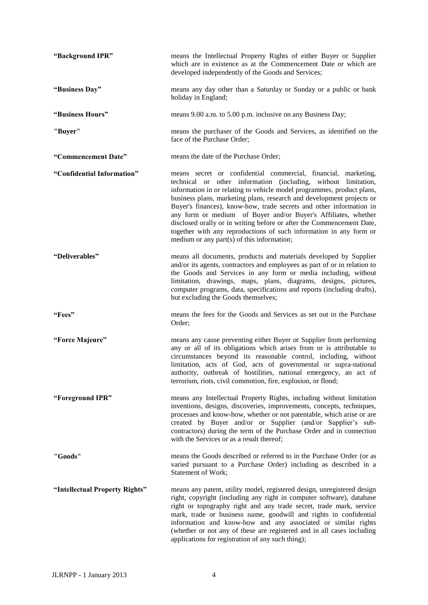| "Background IPR"               | means the Intellectual Property Rights of either Buyer or Supplier<br>which are in existence as at the Commencement Date or which are<br>developed independently of the Goods and Services;                                                                                                                                                                                                                                                                                                                                                                                                                                  |
|--------------------------------|------------------------------------------------------------------------------------------------------------------------------------------------------------------------------------------------------------------------------------------------------------------------------------------------------------------------------------------------------------------------------------------------------------------------------------------------------------------------------------------------------------------------------------------------------------------------------------------------------------------------------|
| "Business Day"                 | means any day other than a Saturday or Sunday or a public or bank<br>holiday in England;                                                                                                                                                                                                                                                                                                                                                                                                                                                                                                                                     |
| "Business Hours"               | means 9.00 a.m. to 5.00 p.m. inclusive on any Business Day;                                                                                                                                                                                                                                                                                                                                                                                                                                                                                                                                                                  |
| "Buyer"                        | means the purchaser of the Goods and Services, as identified on the<br>face of the Purchase Order;                                                                                                                                                                                                                                                                                                                                                                                                                                                                                                                           |
| "Commencement Date"            | means the date of the Purchase Order;                                                                                                                                                                                                                                                                                                                                                                                                                                                                                                                                                                                        |
| "Confidential Information"     | means secret or confidential commercial, financial, marketing,<br>technical or other information (including, without limitation,<br>information in or relating to vehicle model programmes, product plans,<br>business plans, marketing plans, research and development projects or<br>Buyer's finances), know-how, trade secrets and other information in<br>any form or medium of Buyer and/or Buyer's Affiliates, whether<br>disclosed orally or in writing before or after the Commencement Date,<br>together with any reproductions of such information in any form or<br>medium or any part $(s)$ of this information; |
| "Deliverables"                 | means all documents, products and materials developed by Supplier<br>and/or its agents, contractors and employees as part of or in relation to<br>the Goods and Services in any form or media including, without<br>limitation, drawings, maps, plans, diagrams, designs, pictures,<br>computer programs, data, specifications and reports (including drafts),<br>but excluding the Goods themselves;                                                                                                                                                                                                                        |
| "Fees"                         | means the fees for the Goods and Services as set out in the Purchase<br>Order;                                                                                                                                                                                                                                                                                                                                                                                                                                                                                                                                               |
| "Force Majeure"                | means any cause preventing either Buyer or Supplier from performing<br>any or all of its obligations which arises from or is attributable to<br>circumstances beyond its reasonable control, including, without<br>limitation, acts of God, acts of governmental or supra-national<br>authority, outbreak of hostilities, national emergency, an act of<br>terrorism, riots, civil commotion, fire, explosion, or flood;                                                                                                                                                                                                     |
| "Foreground IPR"               | means any Intellectual Property Rights, including without limitation<br>inventions, designs, discoveries, improvements, concepts, techniques,<br>processes and know-how, whether or not patentable, which arise or are<br>created by Buyer and/or or Supplier (and/or Supplier's sub-<br>contractors) during the term of the Purchase Order and in connection<br>with the Services or as a result thereof;                                                                                                                                                                                                                   |
| "Goods"                        | means the Goods described or referred to in the Purchase Order (or as<br>varied pursuant to a Purchase Order) including as described in a<br>Statement of Work;                                                                                                                                                                                                                                                                                                                                                                                                                                                              |
| "Intellectual Property Rights" | means any patent, utility model, registered design, unregistered design<br>right, copyright (including any right in computer software), database<br>right or topography right and any trade secret, trade mark, service<br>mark, trade or business name, goodwill and rights in confidential<br>information and know-how and any associated or similar rights<br>(whether or not any of these are registered and in all cases including<br>applications for registration of any such thing);                                                                                                                                 |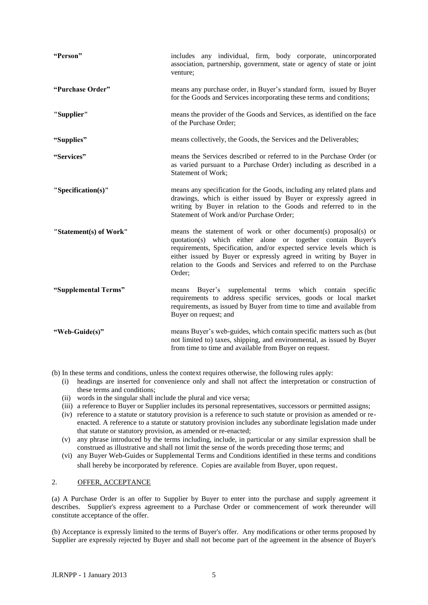| "Person"               | includes any individual, firm, body corporate, unincorporated<br>association, partnership, government, state or agency of state or joint<br>venture;                                                                                                                                                                                                        |
|------------------------|-------------------------------------------------------------------------------------------------------------------------------------------------------------------------------------------------------------------------------------------------------------------------------------------------------------------------------------------------------------|
| "Purchase Order"       | means any purchase order, in Buyer's standard form, issued by Buyer<br>for the Goods and Services incorporating these terms and conditions;                                                                                                                                                                                                                 |
| "Supplier"             | means the provider of the Goods and Services, as identified on the face<br>of the Purchase Order;                                                                                                                                                                                                                                                           |
| "Supplies"             | means collectively, the Goods, the Services and the Deliverables;                                                                                                                                                                                                                                                                                           |
| "Services"             | means the Services described or referred to in the Purchase Order (or<br>as varied pursuant to a Purchase Order) including as described in a<br>Statement of Work;                                                                                                                                                                                          |
| "Specification(s)"     | means any specification for the Goods, including any related plans and<br>drawings, which is either issued by Buyer or expressly agreed in<br>writing by Buyer in relation to the Goods and referred to in the<br>Statement of Work and/or Purchase Order;                                                                                                  |
| "Statement(s) of Work" | means the statement of work or other document(s) proposal(s) or<br>quotation(s) which either alone or together contain Buyer's<br>requirements, Specification, and/or expected service levels which is<br>either issued by Buyer or expressly agreed in writing by Buyer in<br>relation to the Goods and Services and referred to on the Purchase<br>Order; |
| "Supplemental Terms"   | Buyer's supplemental terms which contain<br>specific<br>means<br>requirements to address specific services, goods or local market<br>requirements, as issued by Buyer from time to time and available from<br>Buyer on request; and                                                                                                                         |
| "Web-Guide(s)"         | means Buyer's web-guides, which contain specific matters such as (but<br>not limited to) taxes, shipping, and environmental, as issued by Buyer<br>from time to time and available from Buyer on request.                                                                                                                                                   |

(b) In these terms and conditions, unless the context requires otherwise, the following rules apply:

- (i) headings are inserted for convenience only and shall not affect the interpretation or construction of these terms and conditions;
- (ii) words in the singular shall include the plural and vice versa;
- (iii) a reference to Buyer or Supplier includes its personal representatives, successors or permitted assigns;
- (iv) reference to a statute or statutory provision is a reference to such statute or provision as amended or reenacted. A reference to a statute or statutory provision includes any subordinate legislation made under that statute or statutory provision, as amended or re-enacted;
- (v) any phrase introduced by the terms including, include, in particular or any similar expression shall be construed as illustrative and shall not limit the sense of the words preceding those terms; and
- (vi) any Buyer Web-Guides or Supplemental Terms and Conditions identified in these terms and conditions shall hereby be incorporated by reference. Copies are available from Buyer, upon request.

#### 2. OFFER, ACCEPTANCE

(a) A Purchase Order is an offer to Supplier by Buyer to enter into the purchase and supply agreement it describes. Supplier's express agreement to a Purchase Order or commencement of work thereunder will constitute acceptance of the offer.

(b) Acceptance is expressly limited to the terms of Buyer's offer. Any modifications or other terms proposed by Supplier are expressly rejected by Buyer and shall not become part of the agreement in the absence of Buyer's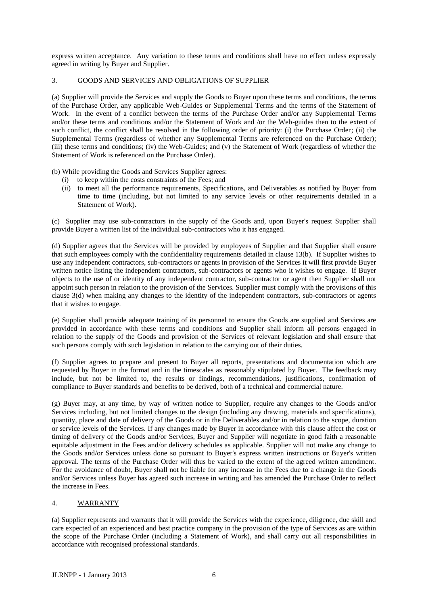express written acceptance. Any variation to these terms and conditions shall have no effect unless expressly agreed in writing by Buyer and Supplier.

#### 3. GOODS AND SERVICES AND OBLIGATIONS OF SUPPLIER

(a) Supplier will provide the Services and supply the Goods to Buyer upon these terms and conditions, the terms of the Purchase Order, any applicable Web-Guides or Supplemental Terms and the terms of the Statement of Work. In the event of a conflict between the terms of the Purchase Order and/or any Supplemental Terms and/or these terms and conditions and/or the Statement of Work and /or the Web-guides then to the extent of such conflict, the conflict shall be resolved in the following order of priority: (i) the Purchase Order; (ii) the Supplemental Terms (regardless of whether any Supplemental Terms are referenced on the Purchase Order); (iii) these terms and conditions; (iv) the Web-Guides; and (v) the Statement of Work (regardless of whether the Statement of Work is referenced on the Purchase Order).

(b) While providing the Goods and Services Supplier agrees:

- (i) to keep within the costs constraints of the Fees; and
- (ii) to meet all the performance requirements, Specifications, and Deliverables as notified by Buyer from time to time (including, but not limited to any service levels or other requirements detailed in a Statement of Work).

(c) Supplier may use sub-contractors in the supply of the Goods and, upon Buyer's request Supplier shall provide Buyer a written list of the individual sub-contractors who it has engaged.

(d) Supplier agrees that the Services will be provided by employees of Supplier and that Supplier shall ensure that such employees comply with the confidentiality requirements detailed in clause 13(b). If Supplier wishes to use any independent contractors, sub-contractors or agents in provision of the Services it will first provide Buyer written notice listing the independent contractors, sub-contractors or agents who it wishes to engage. If Buyer objects to the use of or identity of any independent contractor, sub-contractor or agent then Supplier shall not appoint such person in relation to the provision of the Services. Supplier must comply with the provisions of this clause 3(d) when making any changes to the identity of the independent contractors, sub-contractors or agents that it wishes to engage.

(e) Supplier shall provide adequate training of its personnel to ensure the Goods are supplied and Services are provided in accordance with these terms and conditions and Supplier shall inform all persons engaged in relation to the supply of the Goods and provision of the Services of relevant legislation and shall ensure that such persons comply with such legislation in relation to the carrying out of their duties.

(f) Supplier agrees to prepare and present to Buyer all reports, presentations and documentation which are requested by Buyer in the format and in the timescales as reasonably stipulated by Buyer. The feedback may include, but not be limited to, the results or findings, recommendations, justifications, confirmation of compliance to Buyer standards and benefits to be derived, both of a technical and commercial nature.

(g) Buyer may, at any time, by way of written notice to Supplier, require any changes to the Goods and/or Services including, but not limited changes to the design (including any drawing, materials and specifications), quantity, place and date of delivery of the Goods or in the Deliverables and/or in relation to the scope, duration or service levels of the Services. If any changes made by Buyer in accordance with this clause affect the cost or timing of delivery of the Goods and/or Services, Buyer and Supplier will negotiate in good faith a reasonable equitable adjustment in the Fees and/or delivery schedules as applicable. Supplier will not make any change to the Goods and/or Services unless done so pursuant to Buyer's express written instructions or Buyer's written approval. The terms of the Purchase Order will thus be varied to the extent of the agreed written amendment. For the avoidance of doubt, Buyer shall not be liable for any increase in the Fees due to a change in the Goods and/or Services unless Buyer has agreed such increase in writing and has amended the Purchase Order to reflect the increase in Fees.

#### 4. WARRANTY

(a) Supplier represents and warrants that it will provide the Services with the experience, diligence, due skill and care expected of an experienced and best practice company in the provision of the type of Services as are within the scope of the Purchase Order (including a Statement of Work), and shall carry out all responsibilities in accordance with recognised professional standards.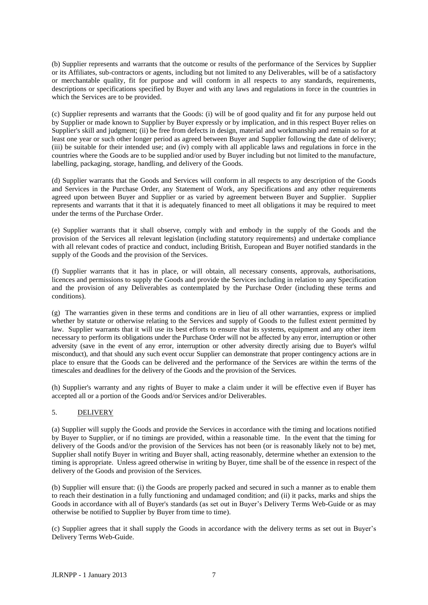(b) Supplier represents and warrants that the outcome or results of the performance of the Services by Supplier or its Affiliates, sub-contractors or agents, including but not limited to any Deliverables, will be of a satisfactory or merchantable quality, fit for purpose and will conform in all respects to any standards, requirements, descriptions or specifications specified by Buyer and with any laws and regulations in force in the countries in which the Services are to be provided.

(c) Supplier represents and warrants that the Goods: (i) will be of good quality and fit for any purpose held out by Supplier or made known to Supplier by Buyer expressly or by implication, and in this respect Buyer relies on Supplier's skill and judgment; (ii) be free from defects in design, material and workmanship and remain so for at least one year or such other longer period as agreed between Buyer and Supplier following the date of delivery; (iii) be suitable for their intended use; and (iv) comply with all applicable laws and regulations in force in the countries where the Goods are to be supplied and/or used by Buyer including but not limited to the manufacture, labelling, packaging, storage, handling, and delivery of the Goods.

(d) Supplier warrants that the Goods and Services will conform in all respects to any description of the Goods and Services in the Purchase Order, any Statement of Work, any Specifications and any other requirements agreed upon between Buyer and Supplier or as varied by agreement between Buyer and Supplier. Supplier represents and warrants that it that it is adequately financed to meet all obligations it may be required to meet under the terms of the Purchase Order.

(e) Supplier warrants that it shall observe, comply with and embody in the supply of the Goods and the provision of the Services all relevant legislation (including statutory requirements) and undertake compliance with all relevant codes of practice and conduct, including British, European and Buyer notified standards in the supply of the Goods and the provision of the Services.

(f) Supplier warrants that it has in place, or will obtain, all necessary consents, approvals, authorisations, licences and permissions to supply the Goods and provide the Services including in relation to any Specification and the provision of any Deliverables as contemplated by the Purchase Order (including these terms and conditions).

(g) The warranties given in these terms and conditions are in lieu of all other warranties, express or implied whether by statute or otherwise relating to the Services and supply of Goods to the fullest extent permitted by law. Supplier warrants that it will use its best efforts to ensure that its systems, equipment and any other item necessary to perform its obligations under the Purchase Order will not be affected by any error, interruption or other adversity (save in the event of any error, interruption or other adversity directly arising due to Buyer's wilful misconduct), and that should any such event occur Supplier can demonstrate that proper contingency actions are in place to ensure that the Goods can be delivered and the performance of the Services are within the terms of the timescales and deadlines for the delivery of the Goods and the provision of the Services.

(h) Supplier's warranty and any rights of Buyer to make a claim under it will be effective even if Buyer has accepted all or a portion of the Goods and/or Services and/or Deliverables.

#### 5. DELIVERY

(a) Supplier will supply the Goods and provide the Services in accordance with the timing and locations notified by Buyer to Supplier, or if no timings are provided, within a reasonable time. In the event that the timing for delivery of the Goods and/or the provision of the Services has not been (or is reasonably likely not to be) met, Supplier shall notify Buyer in writing and Buyer shall, acting reasonably, determine whether an extension to the timing is appropriate. Unless agreed otherwise in writing by Buyer, time shall be of the essence in respect of the delivery of the Goods and provision of the Services.

(b) Supplier will ensure that: (i) the Goods are properly packed and secured in such a manner as to enable them to reach their destination in a fully functioning and undamaged condition; and (ii) it packs, marks and ships the Goods in accordance with all of Buyer's standards (as set out in Buyer's Delivery Terms Web-Guide or as may otherwise be notified to Supplier by Buyer from time to time).

(c) Supplier agrees that it shall supply the Goods in accordance with the delivery terms as set out in Buyer's Delivery Terms Web-Guide.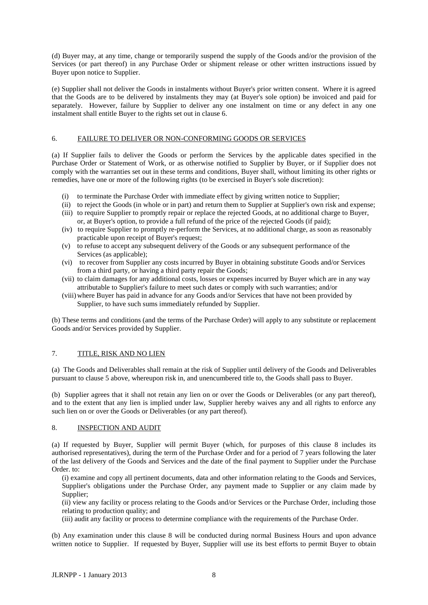(d) Buyer may, at any time, change or temporarily suspend the supply of the Goods and/or the provision of the Services (or part thereof) in any Purchase Order or shipment release or other written instructions issued by Buyer upon notice to Supplier.

(e) Supplier shall not deliver the Goods in instalments without Buyer's prior written consent. Where it is agreed that the Goods are to be delivered by instalments they may (at Buyer's sole option) be invoiced and paid for separately. However, failure by Supplier to deliver any one instalment on time or any defect in any one instalment shall entitle Buyer to the rights set out in clause 6.

#### 6. FAILURE TO DELIVER OR NON-CONFORMING GOODS OR SERVICES

(a) If Supplier fails to deliver the Goods or perform the Services by the applicable dates specified in the Purchase Order or Statement of Work, or as otherwise notified to Supplier by Buyer, or if Supplier does not comply with the warranties set out in these terms and conditions, Buyer shall, without limiting its other rights or remedies, have one or more of the following rights (to be exercised in Buyer's sole discretion):

- (i) to terminate the Purchase Order with immediate effect by giving written notice to Supplier;
- (ii) to reject the Goods (in whole or in part) and return them to Supplier at Supplier's own risk and expense;
- (iii) to require Supplier to promptly repair or replace the rejected Goods, at no additional charge to Buyer, or, at Buyer's option, to provide a full refund of the price of the rejected Goods (if paid);
- (iv) to require Supplier to promptly re-perform the Services, at no additional charge, as soon as reasonably practicable upon receipt of Buyer's request;
- (v) to refuse to accept any subsequent delivery of the Goods or any subsequent performance of the Services (as applicable);
- (vi) to recover from Supplier any costs incurred by Buyer in obtaining substitute Goods and/or Services from a third party, or having a third party repair the Goods;
- (vii) to claim damages for any additional costs, losses or expenses incurred by Buyer which are in any way attributable to Supplier's failure to meet such dates or comply with such warranties; and/or
- (viii)where Buyer has paid in advance for any Goods and/or Services that have not been provided by Supplier, to have such sums immediately refunded by Supplier.

(b) These terms and conditions (and the terms of the Purchase Order) will apply to any substitute or replacement Goods and/or Services provided by Supplier.

#### 7. TITLE, RISK AND NO LIEN

(a) The Goods and Deliverables shall remain at the risk of Supplier until delivery of the Goods and Deliverables pursuant to clause 5 above, whereupon risk in, and unencumbered title to, the Goods shall pass to Buyer.

(b) Supplier agrees that it shall not retain any lien on or over the Goods or Deliverables (or any part thereof), and to the extent that any lien is implied under law, Supplier hereby waives any and all rights to enforce any such lien on or over the Goods or Deliverables (or any part thereof).

#### 8. INSPECTION AND AUDIT

(a) If requested by Buyer, Supplier will permit Buyer (which, for purposes of this clause 8 includes its authorised representatives), during the term of the Purchase Order and for a period of 7 years following the later of the last delivery of the Goods and Services and the date of the final payment to Supplier under the Purchase Order. to:

(i) examine and copy all pertinent documents, data and other information relating to the Goods and Services, Supplier's obligations under the Purchase Order, any payment made to Supplier or any claim made by Supplier;

(ii) view any facility or process relating to the Goods and/or Services or the Purchase Order, including those relating to production quality; and

(iii) audit any facility or process to determine compliance with the requirements of the Purchase Order.

(b) Any examination under this clause 8 will be conducted during normal Business Hours and upon advance written notice to Supplier. If requested by Buyer, Supplier will use its best efforts to permit Buyer to obtain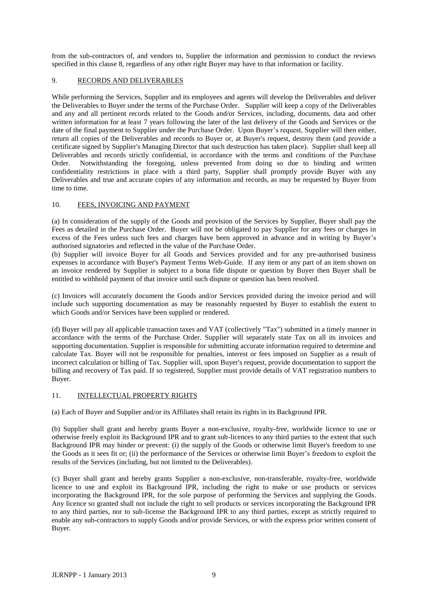from the sub-contractors of, and vendors to, Supplier the information and permission to conduct the reviews specified in this clause 8, regardless of any other right Buyer may have to that information or facility.

#### 9. RECORDS AND DELIVERABLES

While performing the Services, Supplier and its employees and agents will develop the Deliverables and deliver the Deliverables to Buyer under the terms of the Purchase Order. Supplier will keep a copy of the Deliverables and any and all pertinent records related to the Goods and/or Services, including, documents, data and other written information for at least 7 years following the later of the last delivery of the Goods and Services or the date of the final payment to Supplier under the Purchase Order. Upon Buyer's request, Supplier will then either, return all copies of the Deliverables and records to Buyer or, at Buyer's request, destroy them (and provide a certificate signed by Supplier's Managing Director that such destruction has taken place). Supplier shall keep all Deliverables and records strictly confidential, in accordance with the terms and conditions of the Purchase Order. Notwithstanding the foregoing, unless prevented from doing so due to binding and written confidentiality restrictions in place with a third party, Supplier shall promptly provide Buyer with any Deliverables and true and accurate copies of any information and records, as may be requested by Buyer from time to time.

#### 10. FEES, INVOICING AND PAYMENT

(a) In consideration of the supply of the Goods and provision of the Services by Supplier, Buyer shall pay the Fees as detailed in the Purchase Order. Buyer will not be obligated to pay Supplier for any fees or charges in excess of the Fees unless such fees and charges have been approved in advance and in writing by Buyer's authorised signatories and reflected in the value of the Purchase Order.

(b) Supplier will invoice Buyer for all Goods and Services provided and for any pre-authorised business expenses in accordance with Buyer's Payment Terms Web-Guide. If any item or any part of an item shown on an invoice rendered by Supplier is subject to a bona fide dispute or question by Buyer then Buyer shall be entitled to withhold payment of that invoice until such dispute or question has been resolved.

(c) Invoices will accurately document the Goods and/or Services provided during the invoice period and will include such supporting documentation as may be reasonably requested by Buyer to establish the extent to which Goods and/or Services have been supplied or rendered.

(d) Buyer will pay all applicable transaction taxes and VAT (collectively "Tax") submitted in a timely manner in accordance with the terms of the Purchase Order. Supplier will separately state Tax on all its invoices and supporting documentation. Supplier is responsible for submitting accurate information required to determine and calculate Tax. Buyer will not be responsible for penalties, interest or fees imposed on Supplier as a result of incorrect calculation or billing of Tax. Supplier will, upon Buyer's request, provide documentation to support the billing and recovery of Tax paid. If so registered, Supplier must provide details of VAT registration numbers to Buyer.

### 11. INTELLECTUAL PROPERTY RIGHTS

(a) Each of Buyer and Supplier and/or its Affiliates shall retain its rights in its Background IPR.

(b) Supplier shall grant and hereby grants Buyer a non-exclusive, royalty-free, worldwide licence to use or otherwise freely exploit its Background IPR and to grant sub-licences to any third parties to the extent that such Background IPR may hinder or prevent: (i) the supply of the Goods or otherwise limit Buyer's freedom to use the Goods as it sees fit or; (ii) the performance of the Services or otherwise limit Buyer's freedom to exploit the results of the Services (including, but not limited to the Deliverables).

(c) Buyer shall grant and hereby grants Supplier a non-exclusive, non-transferable, royalty-free, worldwide licence to use and exploit its Background IPR, including the right to make or use products or services incorporating the Background IPR, for the sole purpose of performing the Services and supplying the Goods. Any licence so granted shall not include the right to sell products or services incorporating the Background IPR to any third parties, nor to sub-license the Background IPR to any third parties, except as strictly required to enable any sub-contractors to supply Goods and/or provide Services, or with the express prior written consent of Buyer.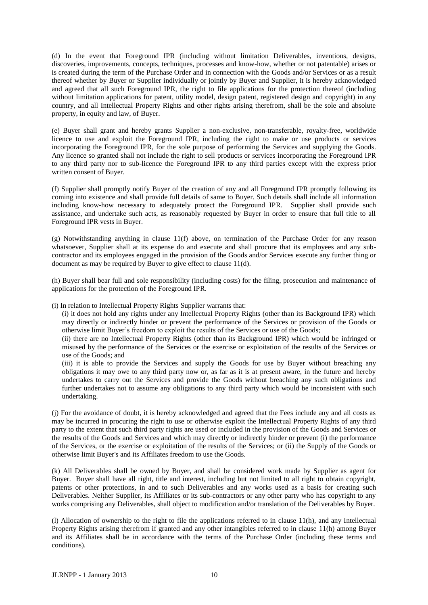(d) In the event that Foreground IPR (including without limitation Deliverables, inventions, designs, discoveries, improvements, concepts, techniques, processes and know-how, whether or not patentable) arises or is created during the term of the Purchase Order and in connection with the Goods and/or Services or as a result thereof whether by Buyer or Supplier individually or jointly by Buyer and Supplier, it is hereby acknowledged and agreed that all such Foreground IPR, the right to file applications for the protection thereof (including without limitation applications for patent, utility model, design patent, registered design and copyright) in any country, and all Intellectual Property Rights and other rights arising therefrom, shall be the sole and absolute property, in equity and law, of Buyer.

(e) Buyer shall grant and hereby grants Supplier a non-exclusive, non-transferable, royalty-free, worldwide licence to use and exploit the Foreground IPR, including the right to make or use products or services incorporating the Foreground IPR, for the sole purpose of performing the Services and supplying the Goods. Any licence so granted shall not include the right to sell products or services incorporating the Foreground IPR to any third party nor to sub-licence the Foreground IPR to any third parties except with the express prior written consent of Buyer.

(f) Supplier shall promptly notify Buyer of the creation of any and all Foreground IPR promptly following its coming into existence and shall provide full details of same to Buyer. Such details shall include all information including know-how necessary to adequately protect the Foreground IPR. Supplier shall provide such assistance, and undertake such acts, as reasonably requested by Buyer in order to ensure that full title to all Foreground IPR vests in Buyer.

(g) Notwithstanding anything in clause 11(f) above, on termination of the Purchase Order for any reason whatsoever, Supplier shall at its expense do and execute and shall procure that its employees and any subcontractor and its employees engaged in the provision of the Goods and/or Services execute any further thing or document as may be required by Buyer to give effect to clause 11(d).

(h) Buyer shall bear full and sole responsibility (including costs) for the filing, prosecution and maintenance of applications for the protection of the Foreground IPR.

(i) In relation to Intellectual Property Rights Supplier warrants that:

(i) it does not hold any rights under any Intellectual Property Rights (other than its Background IPR) which may directly or indirectly hinder or prevent the performance of the Services or provision of the Goods or otherwise limit Buyer's freedom to exploit the results of the Services or use of the Goods;

(ii) there are no Intellectual Property Rights (other than its Background IPR) which would be infringed or misused by the performance of the Services or the exercise or exploitation of the results of the Services or use of the Goods; and

(iii) it is able to provide the Services and supply the Goods for use by Buyer without breaching any obligations it may owe to any third party now or, as far as it is at present aware, in the future and hereby undertakes to carry out the Services and provide the Goods without breaching any such obligations and further undertakes not to assume any obligations to any third party which would be inconsistent with such undertaking.

(j) For the avoidance of doubt, it is hereby acknowledged and agreed that the Fees include any and all costs as may be incurred in procuring the right to use or otherwise exploit the Intellectual Property Rights of any third party to the extent that such third party rights are used or included in the provision of the Goods and Services or the results of the Goods and Services and which may directly or indirectly hinder or prevent (i) the performance of the Services, or the exercise or exploitation of the results of the Services; or (ii) the Supply of the Goods or otherwise limit Buyer's and its Affiliates freedom to use the Goods.

(k) All Deliverables shall be owned by Buyer, and shall be considered work made by Supplier as agent for Buyer. Buyer shall have all right, title and interest, including but not limited to all right to obtain copyright, patents or other protections, in and to such Deliverables and any works used as a basis for creating such Deliverables. Neither Supplier, its Affiliates or its sub-contractors or any other party who has copyright to any works comprising any Deliverables, shall object to modification and/or translation of the Deliverables by Buyer.

(l) Allocation of ownership to the right to file the applications referred to in clause 11(h), and any Intellectual Property Rights arising therefrom if granted and any other intangibles referred to in clause 11(h) among Buyer and its Affiliates shall be in accordance with the terms of the Purchase Order (including these terms and conditions)*.*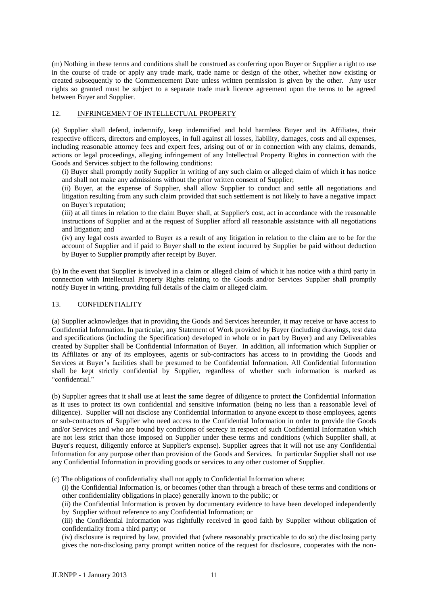(m) Nothing in these terms and conditions shall be construed as conferring upon Buyer or Supplier a right to use in the course of trade or apply any trade mark, trade name or design of the other, whether now existing or created subsequently to the Commencement Date unless written permission is given by the other. Any user rights so granted must be subject to a separate trade mark licence agreement upon the terms to be agreed between Buyer and Supplier.

#### 12. INFRINGEMENT OF INTELLECTUAL PROPERTY

(a) Supplier shall defend, indemnify, keep indemnified and hold harmless Buyer and its Affiliates, their respective officers, directors and employees, in full against all losses, liability, damages, costs and all expenses, including reasonable attorney fees and expert fees, arising out of or in connection with any claims, demands, actions or legal proceedings, alleging infringement of any Intellectual Property Rights in connection with the Goods and Services subject to the following conditions:

(i) Buyer shall promptly notify Supplier in writing of any such claim or alleged claim of which it has notice and shall not make any admissions without the prior written consent of Supplier;

(ii) Buyer, at the expense of Supplier, shall allow Supplier to conduct and settle all negotiations and litigation resulting from any such claim provided that such settlement is not likely to have a negative impact on Buyer's reputation;

(iii) at all times in relation to the claim Buyer shall, at Supplier's cost, act in accordance with the reasonable instructions of Supplier and at the request of Supplier afford all reasonable assistance with all negotiations and litigation; and

(iv) any legal costs awarded to Buyer as a result of any litigation in relation to the claim are to be for the account of Supplier and if paid to Buyer shall to the extent incurred by Supplier be paid without deduction by Buyer to Supplier promptly after receipt by Buyer.

(b) In the event that Supplier is involved in a claim or alleged claim of which it has notice with a third party in connection with Intellectual Property Rights relating to the Goods and/or Services Supplier shall promptly notify Buyer in writing, providing full details of the claim or alleged claim.

#### 13. CONFIDENTIALITY

(a) Supplier acknowledges that in providing the Goods and Services hereunder, it may receive or have access to Confidential Information. In particular, any Statement of Work provided by Buyer (including drawings, test data and specifications (including the Specification) developed in whole or in part by Buyer) and any Deliverables created by Supplier shall be Confidential Information of Buyer. In addition, all information which Supplier or its Affiliates or any of its employees, agents or sub-contractors has access to in providing the Goods and Services at Buyer's facilities shall be presumed to be Confidential Information. All Confidential Information shall be kept strictly confidential by Supplier, regardless of whether such information is marked as "confidential."

(b) Supplier agrees that it shall use at least the same degree of diligence to protect the Confidential Information as it uses to protect its own confidential and sensitive information (being no less than a reasonable level of diligence). Supplier will not disclose any Confidential Information to anyone except to those employees, agents or sub-contractors of Supplier who need access to the Confidential Information in order to provide the Goods and/or Services and who are bound by conditions of secrecy in respect of such Confidential Information which are not less strict than those imposed on Supplier under these terms and conditions (which Supplier shall, at Buyer's request, diligently enforce at Supplier's expense). Supplier agrees that it will not use any Confidential Information for any purpose other than provision of the Goods and Services. In particular Supplier shall not use any Confidential Information in providing goods or services to any other customer of Supplier.

(c) The obligations of confidentiality shall not apply to Confidential Information where:

(i) the Confidential Information is, or becomes (other than through a breach of these terms and conditions or other confidentiality obligations in place) generally known to the public; or

(ii) the Confidential Information is proven by documentary evidence to have been developed independently by Supplier without reference to any Confidential Information; or

(iii) the Confidential Information was rightfully received in good faith by Supplier without obligation of confidentiality from a third party; or

(iv) disclosure is required by law, provided that (where reasonably practicable to do so) the disclosing party gives the non-disclosing party prompt written notice of the request for disclosure, cooperates with the non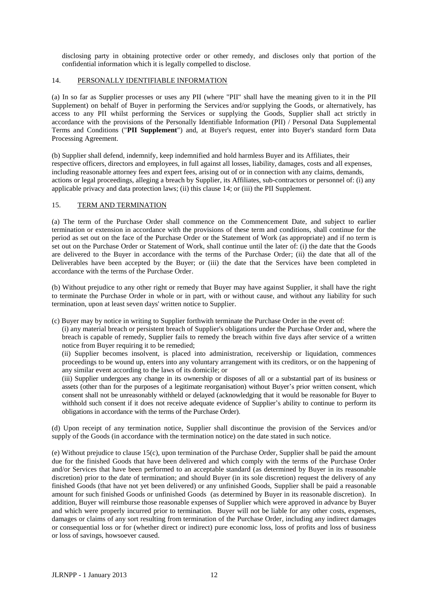disclosing party in obtaining protective order or other remedy, and discloses only that portion of the confidential information which it is legally compelled to disclose.

#### 14. PERSONALLY IDENTIFIABLE INFORMATION

(a) In so far as Supplier processes or uses any PII (where "PII" shall have the meaning given to it in the PII Supplement) on behalf of Buyer in performing the Services and/or supplying the Goods, or alternatively, has access to any PII whilst performing the Services or supplying the Goods, Supplier shall act strictly in accordance with the provisions of the Personally Identifiable Information (PII) / Personal Data Supplemental Terms and Conditions ("**PII Supplement**") and, at Buyer's request, enter into Buyer's standard form Data Processing Agreement.

(b) Supplier shall defend, indemnify, keep indemnified and hold harmless Buyer and its Affiliates, their respective officers, directors and employees, in full against all losses, liability, damages, costs and all expenses, including reasonable attorney fees and expert fees, arising out of or in connection with any claims, demands, actions or legal proceedings, alleging a breach by Supplier, its Affiliates, sub-contractors or personnel of: (i) any applicable privacy and data protection laws; (ii) this clause 14; or (iii) the PII Supplement.

#### 15. TERM AND TERMINATION

(a) The term of the Purchase Order shall commence on the Commencement Date, and subject to earlier termination or extension in accordance with the provisions of these term and conditions, shall continue for the period as set out on the face of the Purchase Order or the Statement of Work (as appropriate) and if no term is set out on the Purchase Order or Statement of Work, shall continue until the later of: (i) the date that the Goods are delivered to the Buyer in accordance with the terms of the Purchase Order; (ii) the date that all of the Deliverables have been accepted by the Buyer; or (iii) the date that the Services have been completed in accordance with the terms of the Purchase Order.

(b) Without prejudice to any other right or remedy that Buyer may have against Supplier, it shall have the right to terminate the Purchase Order in whole or in part, with or without cause, and without any liability for such termination, upon at least seven days' written notice to Supplier.

(c) Buyer may by notice in writing to Supplier forthwith terminate the Purchase Order in the event of:

(i) any material breach or persistent breach of Supplier's obligations under the Purchase Order and, where the breach is capable of remedy, Supplier fails to remedy the breach within five days after service of a written notice from Buyer requiring it to be remedied;

(ii) Supplier becomes insolvent, is placed into administration, receivership or liquidation, commences proceedings to be wound up, enters into any voluntary arrangement with its creditors, or on the happening of any similar event according to the laws of its domicile; or

(iii) Supplier undergoes any change in its ownership or disposes of all or a substantial part of its business or assets (other than for the purposes of a legitimate reorganisation) without Buyer's prior written consent, which consent shall not be unreasonably withheld or delayed (acknowledging that it would be reasonable for Buyer to withhold such consent if it does not receive adequate evidence of Supplier's ability to continue to perform its obligations in accordance with the terms of the Purchase Order).

(d) Upon receipt of any termination notice, Supplier shall discontinue the provision of the Services and/or supply of the Goods (in accordance with the termination notice) on the date stated in such notice.

(e) Without prejudice to clause 15(c), upon termination of the Purchase Order, Supplier shall be paid the amount due for the finished Goods that have been delivered and which comply with the terms of the Purchase Order and/or Services that have been performed to an acceptable standard (as determined by Buyer in its reasonable discretion) prior to the date of termination; and should Buyer (in its sole discretion) request the delivery of any finished Goods (that have not yet been delivered) or any unfinished Goods, Supplier shall be paid a reasonable amount for such finished Goods or unfinished Goods (as determined by Buyer in its reasonable discretion). In addition, Buyer will reimburse those reasonable expenses of Supplier which were approved in advance by Buyer and which were properly incurred prior to termination. Buyer will not be liable for any other costs, expenses, damages or claims of any sort resulting from termination of the Purchase Order, including any indirect damages or consequential loss or for (whether direct or indirect) pure economic loss, loss of profits and loss of business or loss of savings, howsoever caused.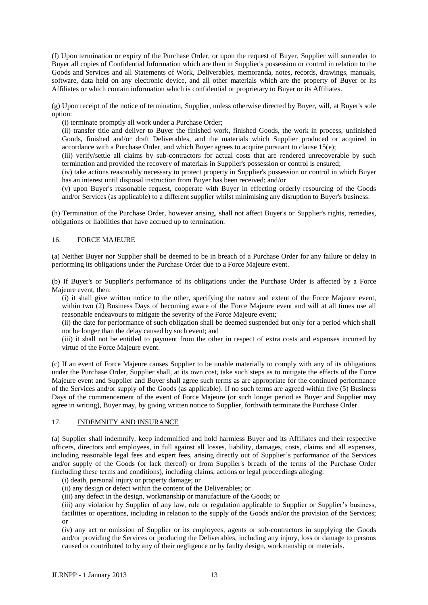(f) Upon termination or expiry of the Purchase Order, or upon the request of Buyer, Supplier will surrender to Buyer all copies of Confidential Information which are then in Supplier's possession or control in relation to the Goods and Services and all Statements of Work, Deliverables, memoranda, notes, records, drawings, manuals, software, data held on any electronic device, and all other materials which are the property of Buyer or its Affiliates or which contain information which is confidential or proprietary to Buyer or its Affiliates.

(g) Upon receipt of the notice of termination, Supplier, unless otherwise directed by Buyer, will, at Buyer's sole option:

(i) terminate promptly all work under a Purchase Order;

(ii) transfer title and deliver to Buyer the finished work, finished Goods, the work in process, unfinished Goods, finished and/or draft Deliverables, and the materials which Supplier produced or acquired in accordance with a Purchase Order, and which Buyer agrees to acquire pursuant to clause 15(e);

(iii) verify/settle all claims by sub-contractors for actual costs that are rendered unrecoverable by such termination and provided the recovery of materials in Supplier's possession or control is ensured;

(iv) take actions reasonably necessary to protect property in Supplier's possession or control in which Buyer has an interest until disposal instruction from Buyer has been received; and/or

(v) upon Buyer's reasonable request, cooperate with Buyer in effecting orderly resourcing of the Goods and/or Services (as applicable) to a different supplier whilst minimising any disruption to Buyer's business.

(h) Termination of the Purchase Order, however arising, shall not affect Buyer's or Supplier's rights, remedies, obligations or liabilities that have accrued up to termination.

#### 16. FORCE MAJEURE

(a) Neither Buyer nor Supplier shall be deemed to be in breach of a Purchase Order for any failure or delay in performing its obligations under the Purchase Order due to a Force Majeure event.

(b) If Buyer's or Supplier's performance of its obligations under the Purchase Order is affected by a Force Majeure event, then:

(i) it shall give written notice to the other, specifying the nature and extent of the Force Majeure event, within two (2) Business Days of becoming aware of the Force Majeure event and will at all times use all reasonable endeavours to mitigate the severity of the Force Majeure event;

(ii) the date for performance of such obligation shall be deemed suspended but only for a period which shall not be longer than the delay caused by such event; and

(iii) it shall not be entitled to payment from the other in respect of extra costs and expenses incurred by virtue of the Force Majeure event.

(c) If an event of Force Majeure causes Supplier to be unable materially to comply with any of its obligations under the Purchase Order, Supplier shall, at its own cost, take such steps as to mitigate the effects of the Force Majeure event and Supplier and Buyer shall agree such terms as are appropriate for the continued performance of the Services and/or supply of the Goods (as applicable). If no such terms are agreed within five (5) Business Days of the commencement of the event of Force Majeure (or such longer period as Buyer and Supplier may agree in writing), Buyer may, by giving written notice to Supplier, forthwith terminate the Purchase Order.

#### 17. INDEMNITY AND INSURANCE

(a) Supplier shall indemnify, keep indemnified and hold harmless Buyer and its Affiliates and their respective officers, directors and employees, in full against all losses, liability, damages, costs, claims and all expenses, including reasonable legal fees and expert fees, arising directly out of Supplier's performance of the Services and/or supply of the Goods (or lack thereof) or from Supplier's breach of the terms of the Purchase Order (including these terms and conditions), including claims, actions or legal proceedings alleging:

(i) death, personal injury or property damage; or

(ii) any design or defect within the content of the Deliverables; or

(iii) any defect in the design, workmanship or manufacture of the Goods; or

(iii) any violation by Supplier of any law, rule or regulation applicable to Supplier or Supplier's business, facilities or operations, including in relation to the supply of the Goods and/or the provision of the Services; or

(iv) any act or omission of Supplier or its employees, agents or sub-contractors in supplying the Goods and/or providing the Services or producing the Deliverables, including any injury, loss or damage to persons caused or contributed to by any of their negligence or by faulty design, workmanship or materials.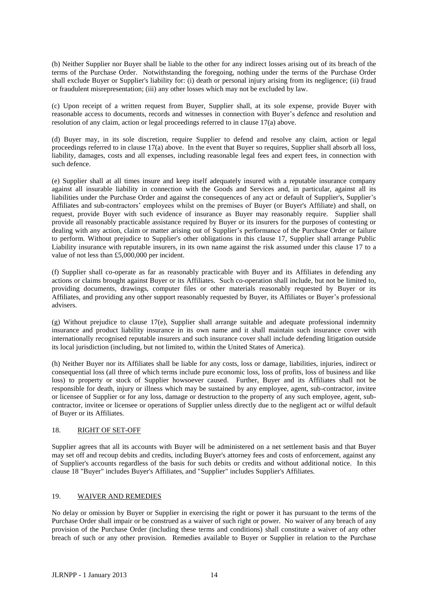(b) Neither Supplier nor Buyer shall be liable to the other for any indirect losses arising out of its breach of the terms of the Purchase Order. Notwithstanding the foregoing, nothing under the terms of the Purchase Order shall exclude Buyer or Supplier's liability for: (i) death or personal injury arising from its negligence; (ii) fraud or fraudulent misrepresentation; (iii) any other losses which may not be excluded by law.

(c) Upon receipt of a written request from Buyer, Supplier shall, at its sole expense, provide Buyer with reasonable access to documents, records and witnesses in connection with Buyer's defence and resolution and resolution of any claim, action or legal proceedings referred to in clause 17(a) above.

(d) Buyer may, in its sole discretion, require Supplier to defend and resolve any claim, action or legal proceedings referred to in clause  $17(a)$  above. In the event that Buyer so requires, Supplier shall absorb all loss, liability, damages, costs and all expenses, including reasonable legal fees and expert fees, in connection with such defence.

(e) Supplier shall at all times insure and keep itself adequately insured with a reputable insurance company against all insurable liability in connection with the Goods and Services and, in particular, against all its liabilities under the Purchase Order and against the consequences of any act or default of Supplier's, Supplier's Affiliates and sub-contractors' employees whilst on the premises of Buyer (or Buyer's Affiliate) and shall, on request, provide Buyer with such evidence of insurance as Buyer may reasonably require. Supplier shall provide all reasonably practicable assistance required by Buyer or its insurers for the purposes of contesting or dealing with any action, claim or matter arising out of Supplier's performance of the Purchase Order or failure to perform. Without prejudice to Supplier's other obligations in this clause 17, Supplier shall arrange Public Liability insurance with reputable insurers, in its own name against the risk assumed under this clause 17 to a value of not less than £5,000,000 per incident.

(f) Supplier shall co-operate as far as reasonably practicable with Buyer and its Affiliates in defending any actions or claims brought against Buyer or its Affiliates. Such co-operation shall include, but not be limited to, providing documents, drawings, computer files or other materials reasonably requested by Buyer or its Affiliates, and providing any other support reasonably requested by Buyer, its Affiliates or Buyer's professional advisers.

(g) Without prejudice to clause 17(e), Supplier shall arrange suitable and adequate professional indemnity insurance and product liability insurance in its own name and it shall maintain such insurance cover with internationally recognised reputable insurers and such insurance cover shall include defending litigation outside its local jurisdiction (including, but not limited to, within the United States of America).

(h) Neither Buyer nor its Affiliates shall be liable for any costs, loss or damage, liabilities, injuries, indirect or consequential loss (all three of which terms include pure economic loss, loss of profits, loss of business and like loss) to property or stock of Supplier howsoever caused. Further, Buyer and its Affiliates shall not be responsible for death, injury or illness which may be sustained by any employee, agent, sub-contractor, invitee or licensee of Supplier or for any loss, damage or destruction to the property of any such employee, agent, subcontractor, invitee or licensee or operations of Supplier unless directly due to the negligent act or wilful default of Buyer or its Affiliates.

#### 18. RIGHT OF SET-OFF

Supplier agrees that all its accounts with Buyer will be administered on a net settlement basis and that Buyer may set off and recoup debits and credits, including Buyer's attorney fees and costs of enforcement, against any of Supplier's accounts regardless of the basis for such debits or credits and without additional notice. In this clause 18 "Buyer" includes Buyer's Affiliates, and "Supplier" includes Supplier's Affiliates.

#### 19. WAIVER AND REMEDIES

No delay or omission by Buyer or Supplier in exercising the right or power it has pursuant to the terms of the Purchase Order shall impair or be construed as a waiver of such right or power. No waiver of any breach of any provision of the Purchase Order (including these terms and conditions) shall constitute a waiver of any other breach of such or any other provision. Remedies available to Buyer or Supplier in relation to the Purchase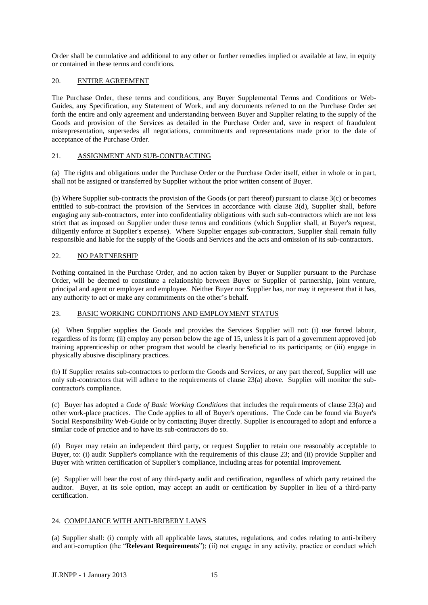Order shall be cumulative and additional to any other or further remedies implied or available at law, in equity or contained in these terms and conditions.

#### 20. ENTIRE AGREEMENT

The Purchase Order, these terms and conditions, any Buyer Supplemental Terms and Conditions or Web-Guides, any Specification, any Statement of Work, and any documents referred to on the Purchase Order set forth the entire and only agreement and understanding between Buyer and Supplier relating to the supply of the Goods and provision of the Services as detailed in the Purchase Order and, save in respect of fraudulent misrepresentation, supersedes all negotiations, commitments and representations made prior to the date of acceptance of the Purchase Order.

#### 21. ASSIGNMENT AND SUB-CONTRACTING

(a) The rights and obligations under the Purchase Order or the Purchase Order itself, either in whole or in part, shall not be assigned or transferred by Supplier without the prior written consent of Buyer.

(b) Where Supplier sub-contracts the provision of the Goods (or part thereof) pursuant to clause 3(c) or becomes entitled to sub-contract the provision of the Services in accordance with clause 3(d), Supplier shall, before engaging any sub-contractors, enter into confidentiality obligations with such sub-contractors which are not less strict that as imposed on Supplier under these terms and conditions (which Supplier shall, at Buyer's request, diligently enforce at Supplier's expense). Where Supplier engages sub-contractors, Supplier shall remain fully responsible and liable for the supply of the Goods and Services and the acts and omission of its sub-contractors.

#### 22. NO PARTNERSHIP

Nothing contained in the Purchase Order, and no action taken by Buyer or Supplier pursuant to the Purchase Order, will be deemed to constitute a relationship between Buyer or Supplier of partnership, joint venture, principal and agent or employer and employee. Neither Buyer nor Supplier has, nor may it represent that it has, any authority to act or make any commitments on the other's behalf.

### 23. BASIC WORKING CONDITIONS AND EMPLOYMENT STATUS

(a) When Supplier supplies the Goods and provides the Services Supplier will not: (i) use forced labour, regardless of its form; (ii) employ any person below the age of 15, unless it is part of a government approved job training apprenticeship or other program that would be clearly beneficial to its participants; or (iii) engage in physically abusive disciplinary practices.

(b) If Supplier retains sub-contractors to perform the Goods and Services, or any part thereof, Supplier will use only sub-contractors that will adhere to the requirements of clause 23(a) above. Supplier will monitor the subcontractor's compliance.

(c) Buyer has adopted a *Code of Basic Working Conditions* that includes the requirements of clause 23(a) and other work-place practices. The Code applies to all of Buyer's operations. The Code can be found via Buyer's Social Responsibility Web-Guide or by contacting Buyer directly. Supplier is encouraged to adopt and enforce a similar code of practice and to have its sub-contractors do so.

(d) Buyer may retain an independent third party, or request Supplier to retain one reasonably acceptable to Buyer, to: (i) audit Supplier's compliance with the requirements of this clause 23; and (ii) provide Supplier and Buyer with written certification of Supplier's compliance, including areas for potential improvement.

(e) Supplier will bear the cost of any third-party audit and certification, regardless of which party retained the auditor. Buyer, at its sole option, may accept an audit or certification by Supplier in lieu of a third-party certification.

### 24. COMPLIANCE WITH ANTI-BRIBERY LAWS

(a) Supplier shall: (i) comply with all applicable laws, statutes, regulations, and codes relating to anti-bribery and anti-corruption (the "**Relevant Requirements**"); (ii) not engage in any activity, practice or conduct which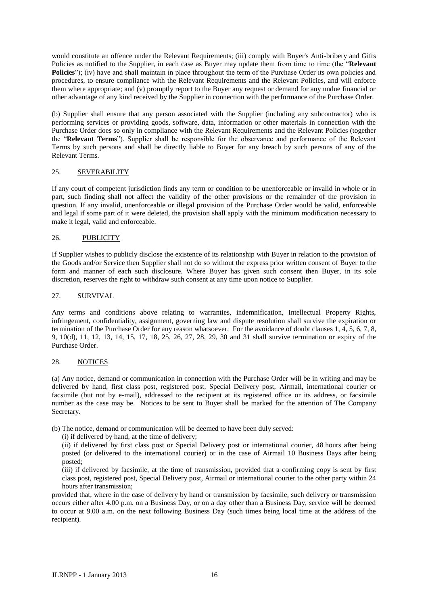would constitute an offence under the Relevant Requirements; (iii) comply with Buyer's Anti-bribery and Gifts Policies as notified to the Supplier, in each case as Buyer may update them from time to time (the "**Relevant Policies**"); (iv) have and shall maintain in place throughout the term of the Purchase Order its own policies and procedures, to ensure compliance with the Relevant Requirements and the Relevant Policies, and will enforce them where appropriate; and (v) promptly report to the Buyer any request or demand for any undue financial or other advantage of any kind received by the Supplier in connection with the performance of the Purchase Order.

(b) Supplier shall ensure that any person associated with the Supplier (including any subcontractor) who is performing services or providing goods, software, data, information or other materials in connection with the Purchase Order does so only in compliance with the Relevant Requirements and the Relevant Policies (together the "**Relevant Terms**"). Supplier shall be responsible for the observance and performance of the Relevant Terms by such persons and shall be directly liable to Buyer for any breach by such persons of any of the Relevant Terms.

#### 25. SEVERABILITY

If any court of competent jurisdiction finds any term or condition to be unenforceable or invalid in whole or in part, such finding shall not affect the validity of the other provisions or the remainder of the provision in question. If any invalid, unenforceable or illegal provision of the Purchase Order would be valid, enforceable and legal if some part of it were deleted, the provision shall apply with the minimum modification necessary to make it legal, valid and enforceable.

#### 26. PUBLICITY

If Supplier wishes to publicly disclose the existence of its relationship with Buyer in relation to the provision of the Goods and/or Service then Supplier shall not do so without the express prior written consent of Buyer to the form and manner of each such disclosure. Where Buyer has given such consent then Buyer, in its sole discretion, reserves the right to withdraw such consent at any time upon notice to Supplier.

#### 27. SURVIVAL

Any terms and conditions above relating to warranties, indemnification, Intellectual Property Rights, infringement, confidentiality, assignment, governing law and dispute resolution shall survive the expiration or termination of the Purchase Order for any reason whatsoever. For the avoidance of doubt clauses 1, 4, 5, 6, 7, 8, 9, 10(d), 11, 12, 13, 14, 15, 17, 18, 25, 26, 27, 28, 29, 30 and 31 shall survive termination or expiry of the Purchase Order.

#### 28. NOTICES

(a) Any notice, demand or communication in connection with the Purchase Order will be in writing and may be delivered by hand, first class post, registered post, Special Delivery post, Airmail, international courier or facsimile (but not by e-mail), addressed to the recipient at its registered office or its address, or facsimile number as the case may be. Notices to be sent to Buyer shall be marked for the attention of The Company Secretary.

(b) The notice, demand or communication will be deemed to have been duly served:

(i) if delivered by hand, at the time of delivery;

(ii) if delivered by first class post or Special Delivery post or international courier, 48 hours after being posted (or delivered to the international courier) or in the case of Airmail 10 Business Days after being posted;

(iii) if delivered by facsimile, at the time of transmission, provided that a confirming copy is sent by first class post, registered post, Special Delivery post, Airmail or international courier to the other party within 24 hours after transmission;

provided that, where in the case of delivery by hand or transmission by facsimile, such delivery or transmission occurs either after 4.00 p.m. on a Business Day, or on a day other than a Business Day, service will be deemed to occur at 9.00 a.m. on the next following Business Day (such times being local time at the address of the recipient).